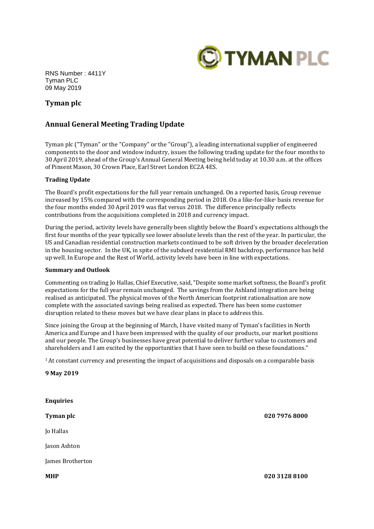

RNS Number : 4411Y Tyman PLC 09 May 2019

# **Tyman plc**

## **Annual General Meeting Trading Update**

Tyman plc ("Tyman" or the "Company" or the "Group"), a leading international supplier of engineered components to the door and window industry, issues the following trading update for the four months to 30 April 2019, ahead of the Group's Annual General Meeting being held today at 10.30 a.m. at the offices of Pinsent Mason, 30 Crown Place, Earl Street London EC2A 4ES.

### **Trading Update**

The Board's profit expectations for the full year remain unchanged. On a reported basis, Group revenue increased by 15% compared with the corresponding period in 2018. On a like-for-like<sup>1</sup> basis revenue for the four months ended 30 April 2019 was flat versus 2018. The difference principally reflects contributions from the acquisitions completed in 2018 and currency impact.

During the period, activity levels have generally been slightly below the Board's expectations although the first four months of the year typically see lower absolute levels than the rest of the year. In particular, the US and Canadian residential construction markets continued to be soft driven by the broader deceleration in the housing sector. In the UK, in spite of the subdued residential RMI backdrop, performance has held up well. In Europe and the Rest of World, activity levels have been in line with expectations.

### **Summary and Outlook**

Commenting on trading Jo Hallas, Chief Executive, said, "Despite some market softness, the Board's profit expectations for the full year remain unchanged. The savings from the Ashland integration are being realised as anticipated. The physical moves of the North American footprint rationalisation are now complete with the associated savings being realised as expected. There has been some customer disruption related to these moves but we have clear plans in place to address this.

Since joining the Group at the beginning of March, I have visited many of Tyman's facilities in North America and Europe and I have been impressed with the quality of our products, our market positions and our people. The Group's businesses have great potential to deliver further value to customers and shareholders and I am excited by the opportunities that I have seen to build on these foundations."

<sup>1</sup>At constant currency and presenting the impact of acquisitions and disposals on a comparable basis

**9 May 2019**

| <b>Enquiries</b> |               |
|------------------|---------------|
| Tyman plc        | 020 7976 8000 |
| Jo Hallas        |               |
| Jason Ashton     |               |
| James Brotherton |               |
| <b>MHP</b>       | 020 3128 8100 |